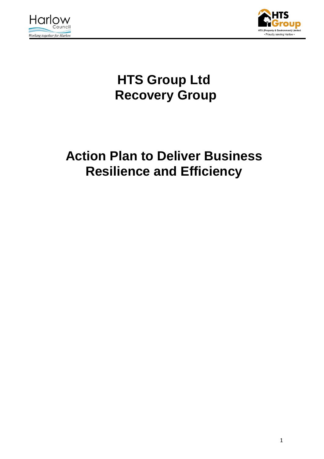



# **HTS Group Ltd Recovery Group**

# **Action Plan to Deliver Business Resilience and Efficiency**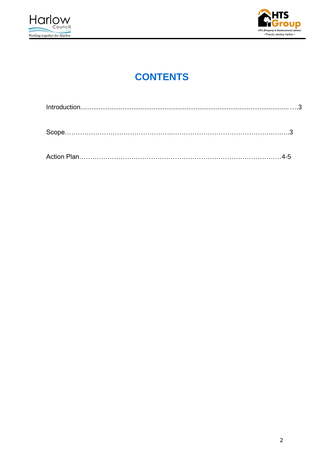



### **CONTENTS**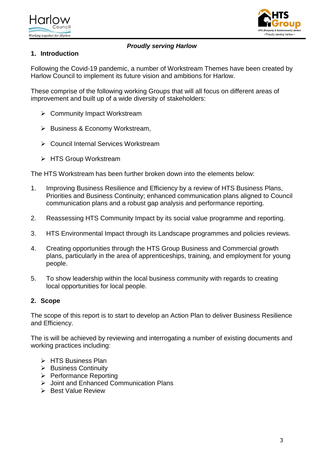



#### *Proudly serving Harlow*

#### **1. Introduction**

Following the Covid-19 pandemic, a number of Workstream Themes have been created by Harlow Council to implement its future vision and ambitions for Harlow.

These comprise of the following working Groups that will all focus on different areas of improvement and built up of a wide diversity of stakeholders:

- **▶ Community Impact Workstream**
- $\triangleright$  Business & Economy Workstream,
- **► Council Internal Services Workstream**
- **► HTS Group Workstream**

The HTS Workstream has been further broken down into the elements below:

- 1. Improving Business Resilience and Efficiency by a review of HTS Business Plans, Priorities and Business Continuity; enhanced communication plans aligned to Council communication plans and a robust gap analysis and performance reporting.
- 2. Reassessing HTS Community Impact by its social value programme and reporting.
- 3. HTS Environmental Impact through its Landscape programmes and policies reviews.
- 4. Creating opportunities through the HTS Group Business and Commercial growth plans, particularly in the area of apprenticeships, training, and employment for young people.
- 5. To show leadership within the local business community with regards to creating local opportunities for local people.

#### **2. Scope**

The scope of this report is to start to develop an Action Plan to deliver Business Resilience and Efficiency.

The is will be achieved by reviewing and interrogating a number of existing documents and working practices including:

- > HTS Business Plan
- ▶ Business Continuity
- $\triangleright$  Performance Reporting
- Joint and Enhanced Communication Plans
- $\triangleright$  Best Value Review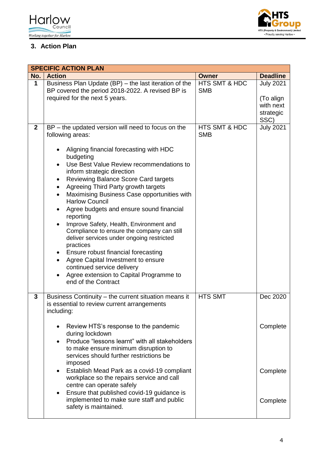



### **3. Action Plan**

|              | <b>SPECIFIC ACTION PLAN</b>                                                                                                                                                                                                                                                                                                                                                                                                                                                                                                                                                                                                                                                                                                                                                                                                      |                                        |                                                                 |  |  |  |
|--------------|----------------------------------------------------------------------------------------------------------------------------------------------------------------------------------------------------------------------------------------------------------------------------------------------------------------------------------------------------------------------------------------------------------------------------------------------------------------------------------------------------------------------------------------------------------------------------------------------------------------------------------------------------------------------------------------------------------------------------------------------------------------------------------------------------------------------------------|----------------------------------------|-----------------------------------------------------------------|--|--|--|
| No.          | <b>Action</b>                                                                                                                                                                                                                                                                                                                                                                                                                                                                                                                                                                                                                                                                                                                                                                                                                    | <b>Owner</b>                           | <b>Deadline</b>                                                 |  |  |  |
| $\mathbf{1}$ | Business Plan Update (BP) - the last iteration of the<br>BP covered the period 2018-2022. A revised BP is<br>required for the next 5 years.                                                                                                                                                                                                                                                                                                                                                                                                                                                                                                                                                                                                                                                                                      | HTS SMT & HDC<br><b>SMB</b>            | <b>July 2021</b><br>(To align<br>with next<br>strategic<br>SSC) |  |  |  |
| $\mathbf{2}$ | BP - the updated version will need to focus on the<br>following areas:<br>Aligning financial forecasting with HDC<br>budgeting<br>Use Best Value Review recommendations to<br>$\bullet$<br>inform strategic direction<br><b>Reviewing Balance Score Card targets</b><br>Agreeing Third Party growth targets<br>$\bullet$<br>Maximising Business Case opportunities with<br>$\bullet$<br><b>Harlow Council</b><br>Agree budgets and ensure sound financial<br>reporting<br>Improve Safety, Health, Environment and<br>$\bullet$<br>Compliance to ensure the company can still<br>deliver services under ongoing restricted<br>practices<br>Ensure robust financial forecasting<br>$\bullet$<br>Agree Capital Investment to ensure<br>continued service delivery<br>Agree extension to Capital Programme to<br>end of the Contract | <b>HTS SMT &amp; HDC</b><br><b>SMB</b> | <b>July 2021</b>                                                |  |  |  |
| 3            | Business Continuity - the current situation means it<br>is essential to review current arrangements<br>including:<br>Review HTS's response to the pandemic<br>$\bullet$<br>during lockdown<br>Produce "lessons learnt" with all stakeholders<br>$\bullet$<br>to make ensure minimum disruption to<br>services should further restrictions be<br>imposed<br>• Establish Mead Park as a covid-19 compliant<br>workplace so the repairs service and call<br>centre can operate safely<br>Ensure that published covid-19 guidance is<br>$\bullet$<br>implemented to make sure staff and public<br>safety is maintained.                                                                                                                                                                                                              | <b>HTS SMT</b>                         | Dec 2020<br>Complete<br>Complete<br>Complete                    |  |  |  |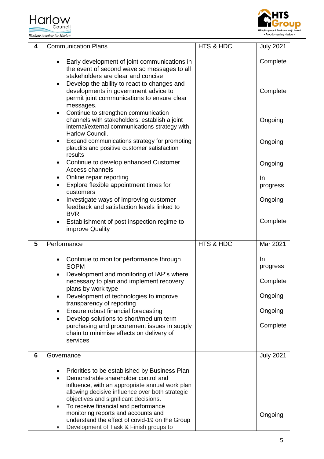Harlow<br> **Council** Working together for Harlow



| 4 | <b>Communication Plans</b>                                                                                                                                                                                                           | <b>HTS &amp; HDC</b> | <b>July 2021</b> |
|---|--------------------------------------------------------------------------------------------------------------------------------------------------------------------------------------------------------------------------------------|----------------------|------------------|
|   | Early development of joint communications in<br>$\bullet$<br>the event of second wave so messages to all<br>stakeholders are clear and concise                                                                                       |                      | Complete         |
|   | Develop the ability to react to changes and<br>$\bullet$<br>developments in government advice to<br>permit joint communications to ensure clear<br>messages.                                                                         |                      | Complete         |
|   | Continue to strengthen communication<br>$\bullet$<br>channels with stakeholders; establish a joint<br>internal/external communications strategy with<br>Harlow Council.                                                              |                      | Ongoing          |
|   | Expand communications strategy for promoting<br>$\bullet$<br>plaudits and positive customer satisfaction<br>results                                                                                                                  |                      | Ongoing          |
|   | Continue to develop enhanced Customer<br>Access channels                                                                                                                                                                             |                      | Ongoing          |
|   | Online repair reporting<br>٠<br>Explore flexible appointment times for<br>$\bullet$<br>customers                                                                                                                                     |                      | In<br>progress   |
|   | Investigate ways of improving customer<br>feedback and satisfaction levels linked to<br><b>BVR</b>                                                                                                                                   |                      | Ongoing          |
|   | Establishment of post inspection regime to<br>$\bullet$<br>improve Quality                                                                                                                                                           |                      | Complete         |
| 5 | Performance                                                                                                                                                                                                                          | HTS & HDC            | Mar 2021         |
|   | Continue to monitor performance through<br><b>SOPM</b>                                                                                                                                                                               |                      | In<br>progress   |
|   | Development and monitoring of IAP's where<br>necessary to plan and implement recovery                                                                                                                                                |                      | Complete         |
|   | plans by work type<br>Development of technologies to improve                                                                                                                                                                         |                      | Ongoing          |
|   | transparency of reporting<br>Ensure robust financial forecasting                                                                                                                                                                     |                      | Ongoing          |
|   | Develop solutions to short/medium term<br>purchasing and procurement issues in supply<br>chain to minimise effects on delivery of<br>services                                                                                        |                      | Complete         |
| 6 | Governance                                                                                                                                                                                                                           |                      | <b>July 2021</b> |
|   | Priorities to be established by Business Plan<br>Demonstrable shareholder control and<br>influence, with an appropriate annual work plan<br>allowing decisive influence over both strategic<br>objectives and significant decisions. |                      |                  |
|   | To receive financial and performance<br>$\bullet$<br>monitoring reports and accounts and<br>understand the effect of covid-19 on the Group<br>Development of Task & Finish groups to                                                 |                      | Ongoing          |